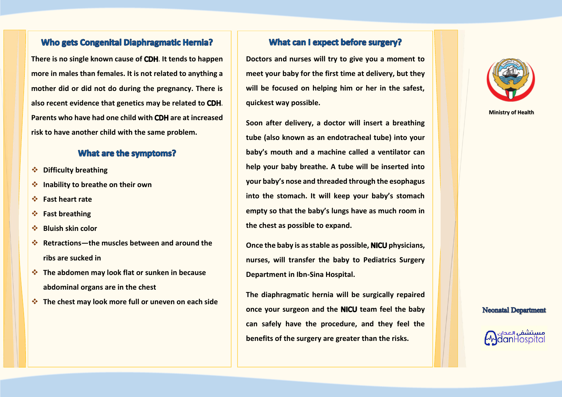#### **Who gets Congenital Diaphragmatic Hernia?**

**There is no single known cause of CDH. It tends to happen more in males than females. It is not related to anything a mother did or did not do during the pregnancy. There is**  also recent evidence that genetics may be related to **CDH**. **Parents who have had one child with are at increased risk to have another child with the same problem.**

#### **What are the symptoms?**

- ❖ **Difficulty breathing**
- ❖ **Inability to breathe on their own**
- ❖ **Fast heart rate**
- ❖ **Fast breathing**
- ❖ **Bluish skin color**
- ❖ **Retractions—the muscles between and around the ribs are sucked in**
- ❖ **The abdomen may look flat or sunken in because abdominal organs are in the chest**
- ❖ **The chest may look more full or uneven on each side**

#### What can I expect before surgery?

**Doctors and nurses will try to give you a moment to meet your baby for the first time at delivery, but they will be focused on helping him or her in the safest, quickest way possible.** 

**Soon after delivery, a doctor will insert a breathing tube (also known as an endotracheal tube) into your baby's mouth and a machine called a ventilator can help your baby breathe. A tube will be inserted into your baby's nose and threaded through the esophagus into the stomach. It will keep your baby's stomach empty so that the baby's lungs have as much room in the chest as possible to expand.** 

**Once the baby is as stable as possible, physicians, nurses, will transfer the baby to Pediatrics Surgery Department in Ibn-Sina Hospital.** 

**The diaphragmatic hernia will be surgically repaired**  once your surgeon and the **NICU** team feel the baby **can safely have the procedure, and they feel the benefits of the surgery are greater than the risks.** 



**Ministry of Health**

#### **Neonatal Department**

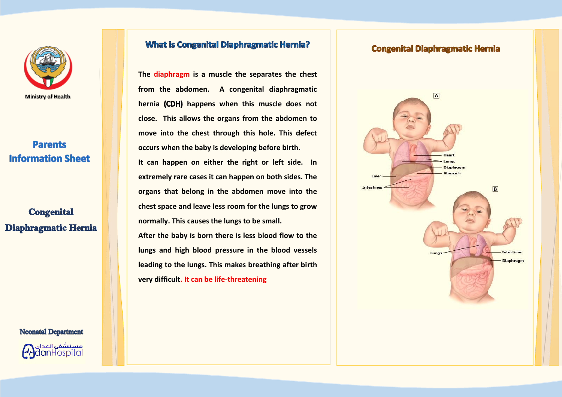

# **Parents Information Sheet**

**Congenital** Diaphragmatic Hernia

**Neonatal Department** 

### **What is Congenital Diaphragmatic Hernia?**

The diaphragm is a muscle the separates the chest from the abdomen. A congenital diaphragmatic hernia (CDH) happens when this muscle does not close. This allows the organs from the abdomen to move into the chest through this hole. This defect occurs when the baby is developing before birth. It can happen on either the right or left side. In extremely rare cases it can happen on both sides. The organs that belong in the abdomen move into the chest space and leave less room for the lungs to grow normally. This causes the lungs to be small. After the baby is born there is less blood flow to the lungs and high blood pressure in the blood vessels leading to the lungs. This makes breathing after birth

very difficult. It can be life-threatening

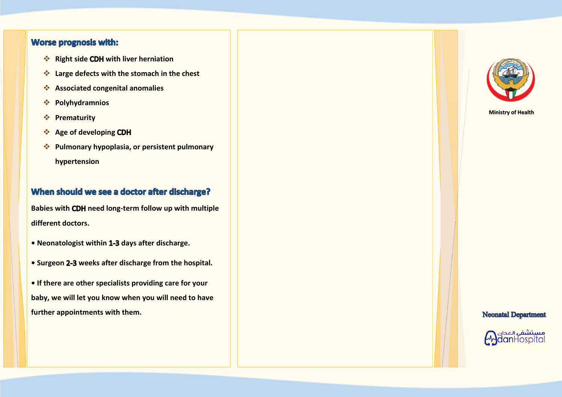### **Worse prognosis with:**

- **❖ Right side CDH with liver herniation**
- ❖ **Large defects with the stomach in the chest**
- ❖ **Associated congenital anomalies**
- ❖ **Polyhydramnios**
- ❖ **Prematurity**
- ❖ **Age of developing**
- ❖ **Pulmonary hypoplasia, or persistent pulmonary hypertension**

## When should we see a doctor after discharge?

**Babies with CDH need long-term follow up with multiple different doctors.** 

- Neonatologist within 1-3 days after discharge.
- **Surgeon weeks after discharge from the hospital.**

**• If there are other specialists providing care for your baby, we will let you know when you will need to have further appointments with them.** 



**Ministry of Health**

**Neonatal Department**